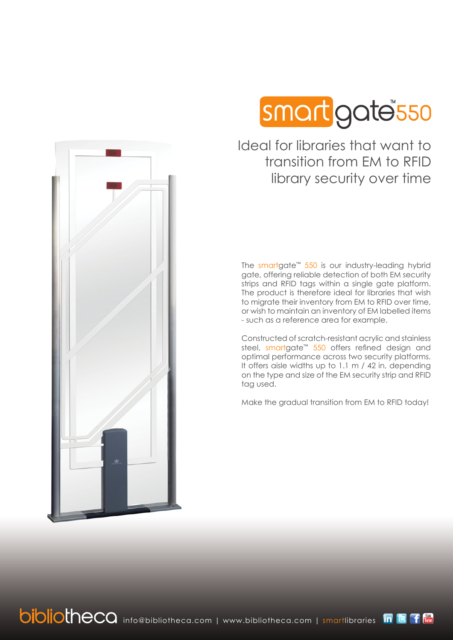

Ideal for libraries that want to transition from EM to RFID library security over time

The smartgate™ 550 is our industry-leading hybrid gate, offering reliable detection of both EM security strips and RFID tags within a single gate platform. The product is therefore ideal for libraries that wish to migrate their inventory from EM to RFID over time, or wish to maintain an inventory of EM labelled items - such as a reference area for example.

Constructed of scratch-resistant acrylic and stainless steel, smartgate<sup>™</sup> 550 offers refined design and optimal performance across two security platforms. It offers aisle widths up to 1.1 m / 42 in, depending on the type and size of the EM security strip and RFID tag used.

Make the gradual transition from EM to RFID today!

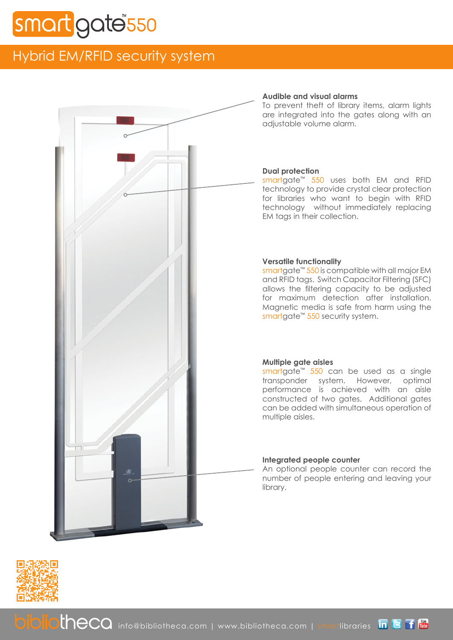# gate<sup>®</sup>550

# Hybrid EM/RFID security system



# **Audible and visual alarms**

To prevent theft of library items, alarm lights are integrated into the gates along with an adjustable volume alarm.

# **Dual protection**

smartgate™ 550 uses both EM and RFID technology to provide crystal clear protection for libraries who want to begin with RFID technology without immediately replacing EM tags in their collection.

# **Versatile functionality**

smartgate<sup>™</sup> 550 is compatible with all major EM and RFID tags. Switch Capacitor Filtering (SFC) allows the filtering capacity to be adjusted for maximum detection after installation. Magnetic media is safe from harm using the smartgate<sup>™</sup> 550 security system.

### **Multiple gate aisles**

smartgate<sup>™</sup> 550 can be used as a single transponder system. However, optimal performance is achieved with an aisle constructed of two gates. Additional gates can be added with simultaneous operation of multiple aisles.

### **Integrated people counter**

An optional people counter can record the number of people entering and leaving your library.